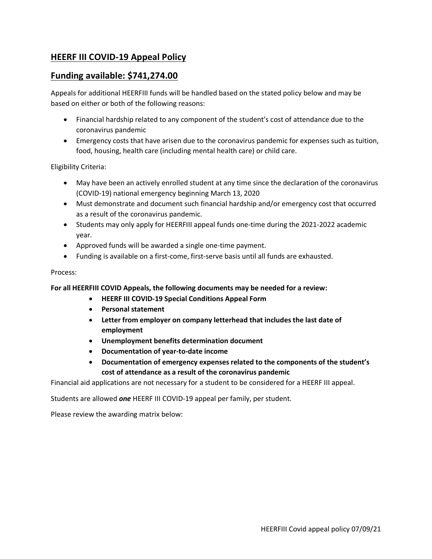## **HEERF III COVID-19 Appeal Policy**

## **Funding available: \$741,274.00**

Appeals for additional HEERFIII funds will be handled based on the stated policy below and may be based on either or both of the following reasons:

- Financial hardship related to any component of the student's cost of attendance due to the coronavirus pandemic
- Emergency costs that have arisen due to the coronavirus pandemic for expenses such as tuition, food, housing, health care (including mental health care) or child care.

Eligibility Criteria:

- May have been an actively enrolled student at any time since the declaration of the coronavirus (COVID-19) national emergency beginning March 13, 2020
- Must demonstrate and document such financial hardship and/or emergency cost that occurred as a result of the coronavirus pandemic.
- Students may only apply for HEERFIII appeal funds one-time during the 2021-2022 academic year.
- Approved funds will be awarded a single one-time payment.
- Funding is available on a first-come, first-serve basis until all funds are exhausted.

## Process:

**For all HEERFIII COVID Appeals, the following documents may be needed for a review:**

- **HEERF III COVID-19 Special Conditions Appeal Form**
- **Personal statement**
- **Letter from employer on company letterhead that includes the last date of employment**
- **Unemployment benefits determination document**
- **Documentation of year-to-date income**
- **Documentation of emergency expenses related to the components of the student's cost of attendance as a result of the coronavirus pandemic**

Financial aid applications are not necessary for a student to be considered for a HEERF III appeal.

Students are allowed *one* HEERF III COVID-19 appeal per family, per student.

Please review the awarding matrix below: